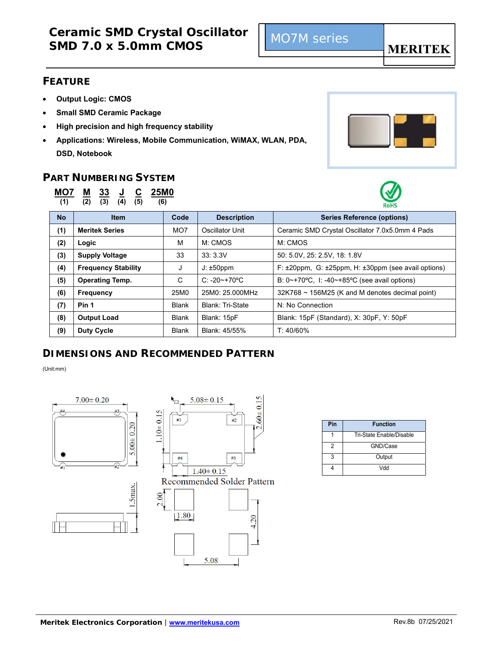### **FEATURE**

- **Output Logic: CMOS**
- **Small SMD Ceramic Package**
- **High precision and high frequency stability**
- **Applications: Wireless, Mobile Communication, WiMAX, WLAN, PDA, DSD, Notebook**

### **PART NUMBERING SYSTEM**



**(1) (2) (3) (4) (5) (6)** 



| <b>No</b> | <b>Item</b>                | Code            | <b>Description</b>      | <b>Series Reference (options)</b>                                          |
|-----------|----------------------------|-----------------|-------------------------|----------------------------------------------------------------------------|
| (1)       | <b>Meritek Series</b>      | MO <sub>7</sub> | Oscillator Unit         | Ceramic SMD Crystal Oscillator 7.0x5.0mm 4 Pads                            |
| (2)       | Logic                      | м               | M: CMOS                 | M: CMOS                                                                    |
| (3)       | <b>Supply Voltage</b>      | 33              | 33:3.3V                 | 50: 5.0V, 25: 2.5V, 18: 1.8V                                               |
| (4)       | <b>Frequency Stability</b> | J               | $J: \pm 50$ ppm         | F: ±20ppm, G: ±25ppm, H: ±30ppm (see avail options)                        |
| (5)       | <b>Operating Temp.</b>     | C               | $C: -20 \sim +70$ °C    | B: $0 \sim +70^{\circ}$ C, I: -40 $\sim +85^{\circ}$ C (see avail options) |
| (6)       | <b>Frequency</b>           | 25M0            | 25M0: 25.000MHz         | $32K768 \sim 156M25$ (K and M denotes decimal point)                       |
| (7)       | Pin 1                      | <b>Blank</b>    | <b>Blank: Tri-State</b> | N: No Connection                                                           |
| (8)       | <b>Output Load</b>         | <b>Blank</b>    | Blank: 15pF             | Blank: 15pF (Standard), X: 30pF, Y: 50pF                                   |
| (9)       | <b>Duty Cycle</b>          | <b>Blank</b>    | Blank: 45/55%           | $T: 40/60\%$                                                               |

### **DIMENSIONS AND RECOMMENDED PATTERN**

(Unit:mm)





| Pin | <b>Function</b>          |  |
|-----|--------------------------|--|
|     | Tri-State Enable/Disable |  |
|     | GND/Case                 |  |
| 3   | Output                   |  |
|     | Mdd                      |  |